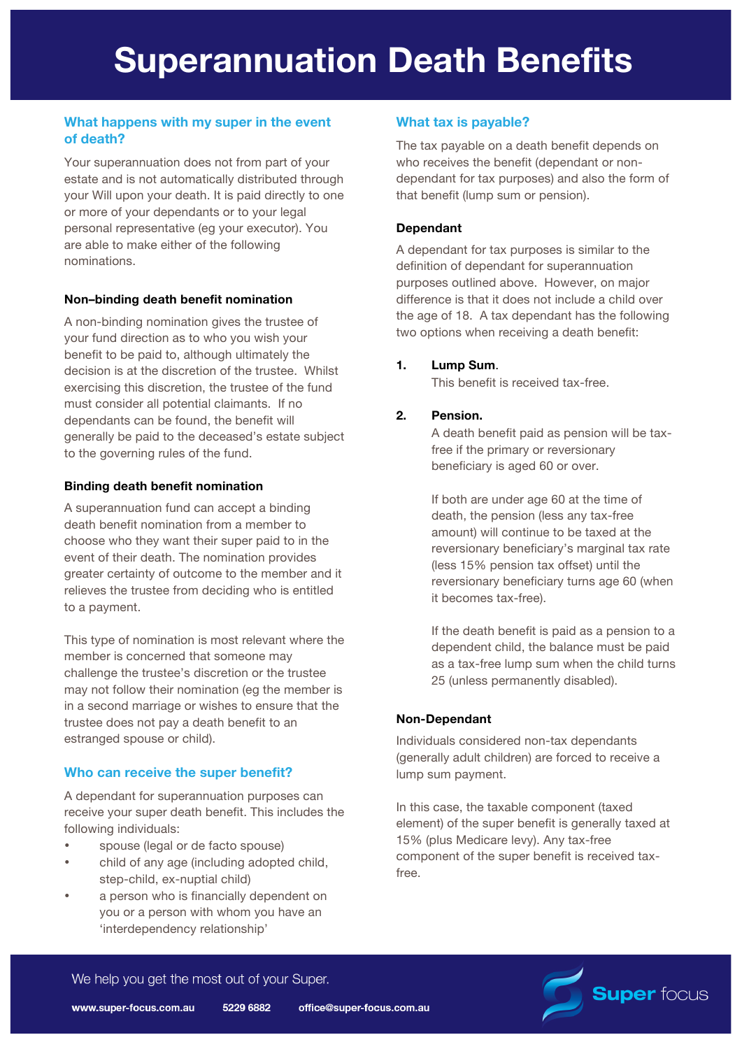# **What happens with my super in the event of death?**

Your superannuation does not from part of your estate and is not automatically distributed through your Will upon your death. It is paid directly to one or more of your dependants or to your legal personal representative (eg your executor). You are able to make either of the following nominations.

#### **Non–binding death benefit nomination**

A non-binding nomination gives the trustee of your fund direction as to who you wish your benefit to be paid to, although ultimately the decision is at the discretion of the trustee. Whilst exercising this discretion, the trustee of the fund must consider all potential claimants. If no dependants can be found, the benefit will generally be paid to the deceased's estate subject to the governing rules of the fund.

## **Binding death benefit nomination**

A superannuation fund can accept a binding death benefit nomination from a member to choose who they want their super paid to in the event of their death. The nomination provides greater certainty of outcome to the member and it relieves the trustee from deciding who is entitled to a payment.

This type of nomination is most relevant where the member is concerned that someone may challenge the trustee's discretion or the trustee may not follow their nomination (eg the member is in a second marriage or wishes to ensure that the trustee does not pay a death benefit to an estranged spouse or child).

# **Who can receive the super benefit?**

A dependant for superannuation purposes can receive your super death benefit. This includes the following individuals:

- spouse (legal or de facto spouse)
- child of any age (including adopted child, step-child, ex-nuptial child)
- a person who is financially dependent on you or a person with whom you have an 'interdependency relationship'

# **What tax is payable?**

The tax payable on a death benefit depends on who receives the benefit (dependant or nondependant for tax purposes) and also the form of that benefit (lump sum or pension).

### **Dependant**

A dependant for tax purposes is similar to the definition of dependant for superannuation purposes outlined above. However, on major difference is that it does not include a child over the age of 18. A tax dependant has the following two options when receiving a death benefit:

## **1. Lump Sum**.

This benefit is received tax-free.

# **2. Pension.**

A death benefit paid as pension will be taxfree if the primary or reversionary beneficiary is aged 60 or over.

If both are under age 60 at the time of death, the pension (less any tax-free amount) will continue to be taxed at the reversionary beneficiary's marginal tax rate (less 15% pension tax offset) until the reversionary beneficiary turns age 60 (when it becomes tax-free).

If the death benefit is paid as a pension to a dependent child, the balance must be paid as a tax-free lump sum when the child turns 25 (unless permanently disabled).

# **Non-Dependant**

Individuals considered non-tax dependants (generally adult children) are forced to receive a lump sum payment.

In this case, the taxable component (taxed element) of the super benefit is generally taxed at 15% (plus Medicare levy). Any tax-free component of the super benefit is received taxfree.



We help you get the most out of your Super.